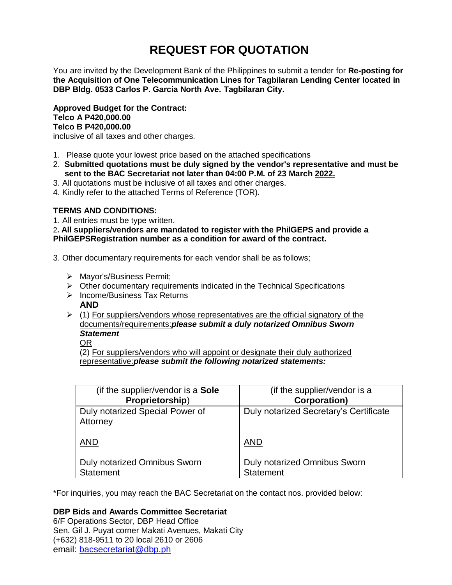# **REQUEST FOR QUOTATION**

You are invited by the Development Bank of the Philippines to submit a tender for **Re-posting for the Acquisition of One Telecommunication Lines for Tagbilaran Lending Center located in DBP Bldg. 0533 Carlos P. Garcia North Ave. Tagbilaran City.**

**Approved Budget for the Contract: Telco A P420,000.00 Telco B P420,000.00**

inclusive of all taxes and other charges.

- 1. Please quote your lowest price based on the attached specifications
- 2. **Submitted quotations must be duly signed by the vendor's representative and must be sent to the BAC Secretariat not later than 04:00 P.M. of 23 March 2022.**
- 3. All quotations must be inclusive of all taxes and other charges.
- 4. Kindly refer to the attached Terms of Reference (TOR).

# **TERMS AND CONDITIONS:**

1. All entries must be type written.

2**. All suppliers/vendors are mandated to register with the PhilGEPS and provide a PhilGEPSRegistration number as a condition for award of the contract.**

- 3. Other documentary requirements for each vendor shall be as follows;
	- > Mayor's/Business Permit;
	- $\triangleright$  Other documentary requirements indicated in the Technical Specifications
	- $\triangleright$  Income/Business Tax Returns **AND**
	- $(1)$  For suppliers/vendors whose representatives are the official signatory of the documents/requirements:*please submit a duly notarized Omnibus Sworn Statement*

OR

(2) For suppliers/vendors who will appoint or designate their duly authorized representative:*please submit the following notarized statements:*

| (if the supplier/vendor is a Sole           | (if the supplier/vendor is a           |
|---------------------------------------------|----------------------------------------|
| Proprietorship)                             | <b>Corporation)</b>                    |
| Duly notarized Special Power of<br>Attorney | Duly notarized Secretary's Certificate |
| <b>AND</b>                                  | <b>AND</b>                             |
| <b>Duly notarized Omnibus Sworn</b>         | <b>Duly notarized Omnibus Sworn</b>    |
| <b>Statement</b>                            | <b>Statement</b>                       |

\*For inquiries, you may reach the BAC Secretariat on the contact nos. provided below:

# **DBP Bids and Awards Committee Secretariat**

6/F Operations Sector, DBP Head Office Sen. Gil J. Puyat corner Makati Avenues, Makati City (+632) 818-9511 to 20 local 2610 or 2606 email: [bacsecretariat@dbp.ph](mailto:bacsecretariat@dbp.ph)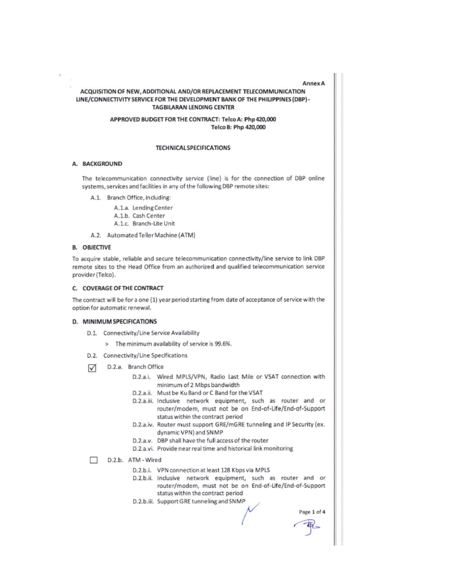#### **Annex A**

#### ACQUISITION OF NEW, ADDITIONAL AND/OR REPLACEMENT TELECOMMUNICATION LINE/CONNECTIVITY SERVICE FOR THE DEVELOPMENT BANK OF THE PHILIPPINES (DBP)-**TAGBILARAN LENDING CENTER**

#### APPROVED BUDGET FOR THE CONTRACT: Telco A: Php 420,000 Telco B: Php 420,000

#### **TECHNICAL SPECIFICATIONS**

#### A. BACKGROUND

The telecommunication connectivity service (line) is for the connection of DBP online systems, services and facilities in any of the following DBP remote sites:

A.1. Branch Office, including:

- A.1.a. Lending Center
- A.1.b. Cash Center
- A.1.c. Branch-Lite Unit
- A.2. Automated Teller Machine (ATM)

#### **B. OBJECTIVE**

To acquire stable, reliable and secure telecommunication connectivity/line service to link DBP remote sites to the Head Office from an authorized and qualified telecommunication service provider (Telco).

#### C. COVERAGE OF THE CONTRACT

The contract will be for a one (1) year period starting from date of acceptance of service with the option for automatic renewal.

#### D. MINIMUM SPECIFICATIONS

- D.1. Connectivity/Line Service Availability
	- > The minimum availability of service is 99.6%.
- D.2. Connectivity/Line Specifications
- D.2.a. Branch Office ☑
	- D.2.a.i. Wired MPLS/VPN, Radio Last Mile or VSAT connection with minimum of 2 Mbps bandwidth
	- D.2.a.ii. Must be Ku Band or C Band for the VSAT
	- D.2.a.iii. Inclusive network equipment, such as router and or router/modem, must not be on End-of-Life/End-of-Support status within the contract period
	- D.2.a.iv. Router must support GRE/mGRE tunneling and IP Security (ex. dynamic VPN) and SNMP
	- D.2.a.v. DBP shall have the full access of the router
	- D.2.a.vi. Provide near real time and historical link monitoring
- D.2.b. ATM Wired п
	- D.2.b.i. VPN connection at least 128 Kbps via MPLS
	- D.2.b.ii. Inclusive network equipment, such as router and or router/modem, must not be on End-of-Life/End-of-Support status within the contract period
	- D.2.b.iii. Support GRE tunneling and SNMP

Page 1 of 4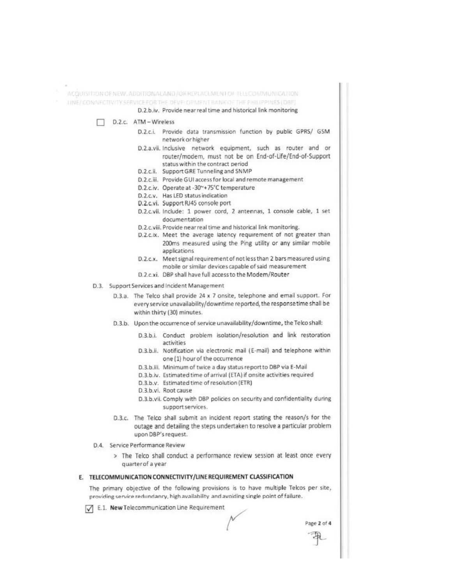#### ACQUISITION OF NEW ADDITIONALAND/OR REPLACEMENT OF TELECOMMUNICATION

LINE/CONNECTIVITY SERVICE FOR THE DEVELOPMENT BANK OF THE PHILIPPINES (DBP)

D.2.b.iv. Provide near real time and historical link monitoring

- D.2.c. ATM Wireless п
	- D.2.c.i. Provide data transmission function by public GPRS/ GSM network or higher
	- D.2.a.vii. Inclusive network equipment, such as router and or router/modem, must not be on End-of-Life/End-of-Support status within the contract period
	- D.2.c.ii. Support GRE Tunneling and SNMP
	- D.2.c.iii. Provide GUI access for local and remote management
	- D.2.c.iv. Operate at -30~+75°C temperature
	- D.2.c.v. Has LED status indication
	- D.2.c.vi. Support RJ45 console port
	- D.2.c.vii. Include: 1 power cord, 2 antennas, 1 console cable, 1 set documentation
	- D.2.c.viii. Provide near real time and historical link monitoring.
	- D.2.c.ix. Meet the average latency requirement of not greater than 200ms measured using the Ping utility or any similar mobile applications
	- D.2.c.x. Meet signal requirement of not less than 2 bars measured using mobile or similar devices capable of said measurement
	- D.2.c.xi. DBP shall have full access to the Modem/Router
- D.3. Support Services and Incident Management
	- D.3.a. The Telco shall provide 24 x 7 onsite, telephone and email support. For every service unavailability/downtime reported, the responsetime shall be within thirty (30) minutes.
	- D.3.b. Upon the occurrence of service unavailability/downtime, the Telco shall:
		- D.3.b.i. Conduct problem isolation/resolution and link restoration activities
		- D.3.b.ii. Notification via electronic mail (E-mail) and telephone within one (1) hour of the occurrence
		- D.3.b.iii. Minimum of twice a day status report to DBP via E-Mail
		- D.3.b.iv. Estimated time of arrival (ETA) if onsite activities required
		- D.3.b.v. Estimated time of resolution (ETR)
		- D.3.b.vi. Root cause
		- D.3.b.vii. Comply with DBP policies on security and confidentiality during support services.
	- D.3.c. The Telco shall submit an incident report stating the reason/s for the outage and detailing the steps undertaken to resolve a particular problem upon DBP's request.
- D.4. Service Performance Review
	- > The Telco shall conduct a performance review session at least once every quarter of a year

### E. TELECOMMUNICATION CONNECTIVITY/LINE REQUIREMENT CLASSIFICATION

The primary objective of the following provisions is to have multiple Telcos per site, providing service redundancy, high availability and avoiding single point of failure.

E.1. New Telecommunication Line Requirement

Page 2 of 4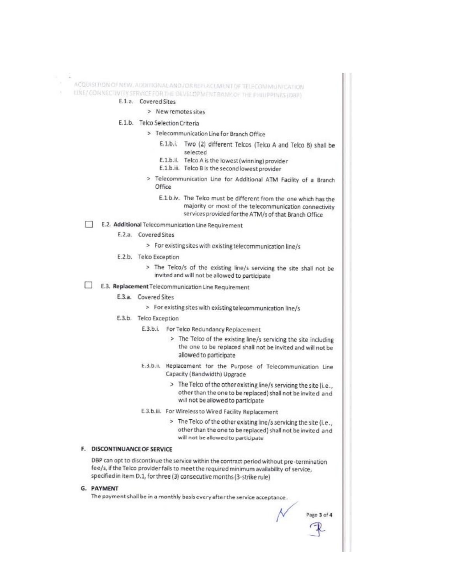ACQUISITION OF NEW, ADDITIONAL AND / OR REPUACEMENT OF TELECOMINUNICATION

11NE/ CONNECTIVITY SERVICE FOR THE DEVELOPMENT BANK OF THE PHILIPPINES (DBP)

# E.1.a. Covered Sites

> New remotes sites

## E.1.b. Telco Selection Criteria

- > Telecommunication Line for Branch Office
	- E.1.b.i. Two (2) different Telcos (Telco A and Telco B) shall be selected
	- E.1.b.ii. Telco A is the lowest (winning) provider
	- E.1.b.iii. Telco B is the second lowest provider
- > Telecommunication Line for Additional ATM Facility of a Branch Office
	- E.1.b.iv. The Telco must be different from the one which has the majority or most of the telecommunication connectivity services provided for the ATM/s of that Branch Office

# E.2. Additional Telecommunication Line Requirement

- E.2.a. Covered Sites
	- > For existing sites with existing telecommunication line/s
- E.2.b. Telco Exception
	- > The Telco/s of the existing line/s servicing the site shall not be invited and will not be allowed to participate
- E.3. Replacement Telecommunication Line Requirement
	- E.3.a. Covered Sites
		- > For existing sites with existing telecommunication line/s
	- E.3.b. Telco Exception
		- E.3.b.i. For Telco Redundancy Replacement
			- > The Telco of the existing line/s servicing the site including the one to be replaced shall not be invited and will not be allowed to participate
		- E.3.b.II. Replacement for the Purpose of Telecommunication Line Capacity (Bandwidth) Upgrade
			- > The Telco of the other existing line/s servicing the site (i.e., other than the one to be replaced) shall not be invited and will not be allowed to participate
		- E.3.b.iii. For Wireless to Wired Facility Replacement
			- > The Telco of the other existing line/s servicing the site (i.e., other than the one to be replaced) shall not be invited and will not be allowed to participate

## F. DISCONTINUANCE OF SERVICE

DBP can opt to discontinue the service within the contract period without pre-termination fee/s, if the Telco provider fails to meet the required minimum availability of service, specified in item D.1, for three (3) consecutive months (3-strike rule)

## G. PAYMENT

The payment shall be in a monthly basis every after the service acceptance.

Page 3 of 4